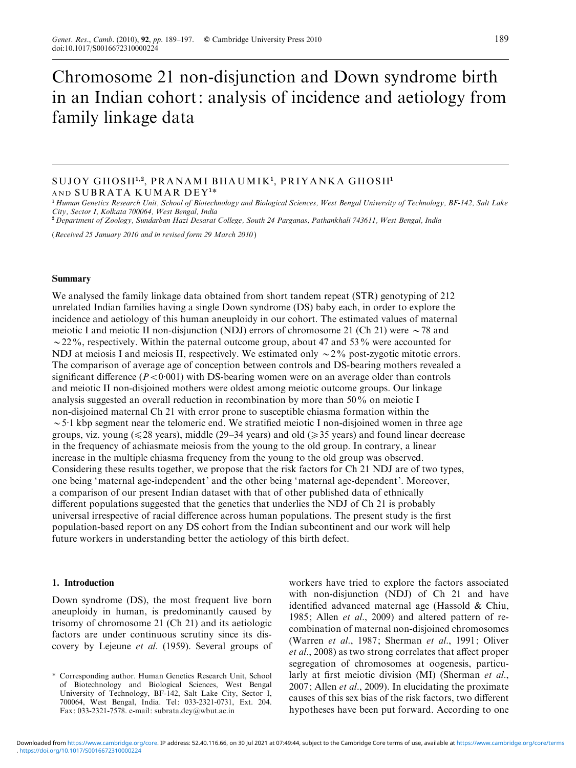# Chromosome 21 non-disjunction and Down syndrome birth in an Indian cohort: analysis of incidence and aetiology from family linkage data

# SUJOY GHOSH<sup>1,2</sup>, PRANAMI BHAUMIK<sup>1</sup>, PRIYANKA GHOSH<sup>1</sup> AND SUBRATA KUMAR DEY<sup>1</sup>\*

<sup>1</sup> Human Genetics Research Unit, School of Biotechnology and Biological Sciences, West Bengal University of Technology, BF-142, Salt Lake City, Sector I, Kolkata 700064, West Bengal, India

<sup>2</sup> Department of Zoology, Sundarban Hazi Desarat College, South 24 Parganas, Pathankhali 743611, West Bengal, India

(Received 25 January 2010 and in revised form 29 March 2010)

## Summary

We analysed the family linkage data obtained from short tandem repeat (STR) genotyping of 212 unrelated Indian families having a single Down syndrome (DS) baby each, in order to explore the incidence and aetiology of this human aneuploidy in our cohort. The estimated values of maternal meiotic I and meiotic II non-disjunction (NDJ) errors of chromosome 21 (Ch 21) were  $\sim$  78 and  $\sim$  22%, respectively. Within the paternal outcome group, about 47 and 53% were accounted for NDJ at meiosis I and meiosis II, respectively. We estimated only  $\sim$  2% post-zygotic mitotic errors. The comparison of average age of conception between controls and DS-bearing mothers revealed a significant difference ( $P < 0.001$ ) with DS-bearing women were on an average older than controls and meiotic II non-disjoined mothers were oldest among meiotic outcome groups. Our linkage analysis suggested an overall reduction in recombination by more than 50% on meiotic I non-disjoined maternal Ch 21 with error prone to susceptible chiasma formation within the  $\sim$  5.1 kbp segment near the telomeric end. We stratified meiotic I non-disjoined women in three age groups, viz. young ( $\leq 28$  years), middle (29–34 years) and old ( $\geq 35$  years) and found linear decrease in the frequency of achiasmate meiosis from the young to the old group. In contrary, a linear increase in the multiple chiasma frequency from the young to the old group was observed. Considering these results together, we propose that the risk factors for Ch 21 NDJ are of two types, one being 'maternal age-independent' and the other being 'maternal age-dependent'. Moreover, a comparison of our present Indian dataset with that of other published data of ethnically different populations suggested that the genetics that underlies the NDJ of Ch 21 is probably universal irrespective of racial difference across human populations. The present study is the first population-based report on any DS cohort from the Indian subcontinent and our work will help future workers in understanding better the aetiology of this birth defect.

#### 1. Introduction

Down syndrome (DS), the most frequent live born aneuploidy in human, is predominantly caused by trisomy of chromosome 21 (Ch 21) and its aetiologic factors are under continuous scrutiny since its discovery by Lejeune et al. (1959). Several groups of

workers have tried to explore the factors associated with non-disjunction (NDJ) of Ch 21 and have identified advanced maternal age (Hassold & Chiu, 1985; Allen et al., 2009) and altered pattern of recombination of maternal non-disjoined chromosomes (Warren et al., 1987; Sherman et al., 1991; Oliver et al., 2008) as two strong correlates that affect proper segregation of chromosomes at oogenesis, particularly at first meiotic division (MI) (Sherman et al., 2007; Allen et al., 2009). In elucidating the proximate causes of this sex bias of the risk factors, two different hypotheses have been put forward. According to one

<sup>\*</sup> Corresponding author. Human Genetics Research Unit, School of Biotechnology and Biological Sciences, West Bengal University of Technology, BF-142, Salt Lake City, Sector I, 700064, West Bengal, India. Tel: 033-2321-0731, Ext. 204. Fax: 033-2321-7578. e-mail: subrata.dey@wbut.ac.in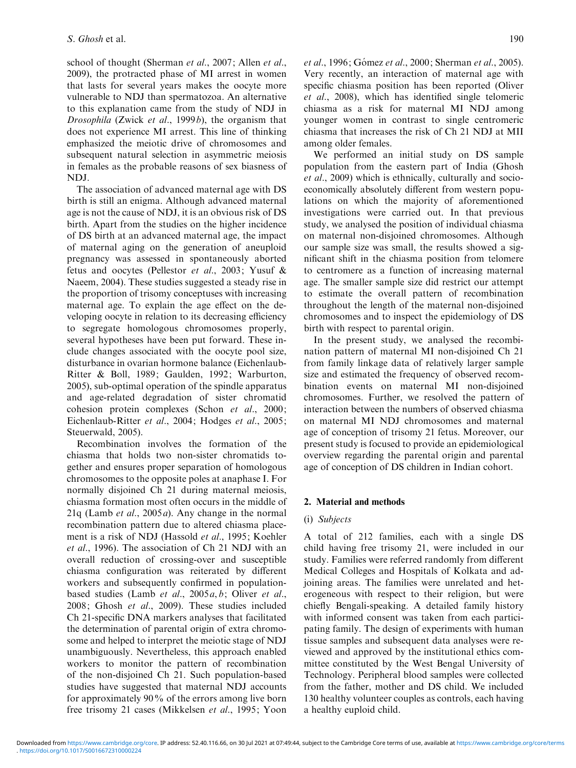school of thought (Sherman et al., 2007; Allen et al., 2009), the protracted phase of MI arrest in women that lasts for several years makes the oocyte more vulnerable to NDJ than spermatozoa. An alternative to this explanation came from the study of NDJ in Drosophila (Zwick et al., 1999 $b$ ), the organism that does not experience MI arrest. This line of thinking emphasized the meiotic drive of chromosomes and subsequent natural selection in asymmetric meiosis in females as the probable reasons of sex biasness of NDJ.

The association of advanced maternal age with DS birth is still an enigma. Although advanced maternal age is not the cause of NDJ, it is an obvious risk of DS birth. Apart from the studies on the higher incidence of DS birth at an advanced maternal age, the impact of maternal aging on the generation of aneuploid pregnancy was assessed in spontaneously aborted fetus and oocytes (Pellestor et al., 2003; Yusuf & Naeem, 2004). These studies suggested a steady rise in the proportion of trisomy conceptuses with increasing maternal age. To explain the age effect on the developing oocyte in relation to its decreasing efficiency to segregate homologous chromosomes properly, several hypotheses have been put forward. These include changes associated with the oocyte pool size, disturbance in ovarian hormone balance (Eichenlaub-Ritter & Boll, 1989; Gaulden, 1992; Warburton, 2005), sub-optimal operation of the spindle apparatus and age-related degradation of sister chromatid cohesion protein complexes (Schon et al., 2000; Eichenlaub-Ritter et al., 2004; Hodges et al., 2005; Steuerwald, 2005).

Recombination involves the formation of the chiasma that holds two non-sister chromatids together and ensures proper separation of homologous chromosomes to the opposite poles at anaphase I. For normally disjoined Ch 21 during maternal meiosis, chiasma formation most often occurs in the middle of 21q (Lamb *et al.*, 2005*a*). Any change in the normal recombination pattern due to altered chiasma placement is a risk of NDJ (Hassold et al., 1995; Koehler et al., 1996). The association of Ch 21 NDJ with an overall reduction of crossing-over and susceptible chiasma configuration was reiterated by different workers and subsequently confirmed in populationbased studies (Lamb et al., 2005a, b; Oliver et al., 2008; Ghosh et al., 2009). These studies included Ch 21-specific DNA markers analyses that facilitated the determination of parental origin of extra chromosome and helped to interpret the meiotic stage of NDJ unambiguously. Nevertheless, this approach enabled workers to monitor the pattern of recombination of the non-disjoined Ch 21. Such population-based studies have suggested that maternal NDJ accounts for approximately 90% of the errors among live born free trisomy 21 cases (Mikkelsen et al., 1995; Yoon et al., 1996; Gómez et al., 2000; Sherman et al., 2005). Very recently, an interaction of maternal age with specific chiasma position has been reported (Oliver et al., 2008), which has identified single telomeric chiasma as a risk for maternal MI NDJ among younger women in contrast to single centromeric chiasma that increases the risk of Ch 21 NDJ at MII among older females.

We performed an initial study on DS sample population from the eastern part of India (Ghosh et al., 2009) which is ethnically, culturally and socioeconomically absolutely different from western populations on which the majority of aforementioned investigations were carried out. In that previous study, we analysed the position of individual chiasma on maternal non-disjoined chromosomes. Although our sample size was small, the results showed a significant shift in the chiasma position from telomere to centromere as a function of increasing maternal age. The smaller sample size did restrict our attempt to estimate the overall pattern of recombination throughout the length of the maternal non-disjoined chromosomes and to inspect the epidemiology of DS birth with respect to parental origin.

In the present study, we analysed the recombination pattern of maternal MI non-disjoined Ch 21 from family linkage data of relatively larger sample size and estimated the frequency of observed recombination events on maternal MI non-disjoined chromosomes. Further, we resolved the pattern of interaction between the numbers of observed chiasma on maternal MI NDJ chromosomes and maternal age of conception of trisomy 21 fetus. Moreover, our present study is focused to provide an epidemiological overview regarding the parental origin and parental age of conception of DS children in Indian cohort.

# 2. Material and methods

#### (i) Subjects

A total of 212 families, each with a single DS child having free trisomy 21, were included in our study. Families were referred randomly from different Medical Colleges and Hospitals of Kolkata and adjoining areas. The families were unrelated and heterogeneous with respect to their religion, but were chiefly Bengali-speaking. A detailed family history with informed consent was taken from each participating family. The design of experiments with human tissue samples and subsequent data analyses were reviewed and approved by the institutional ethics committee constituted by the West Bengal University of Technology. Peripheral blood samples were collected from the father, mother and DS child. We included 130 healthy volunteer couples as controls, each having a healthy euploid child.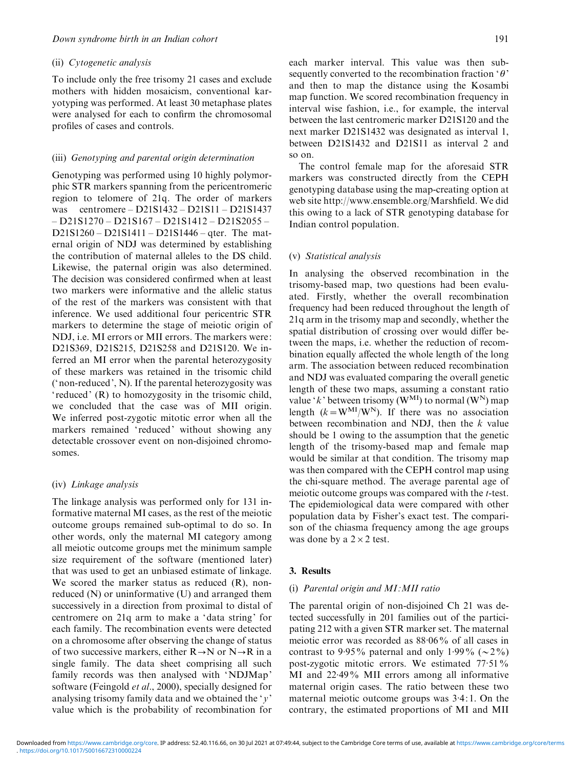#### (ii) Cytogenetic analysis

To include only the free trisomy 21 cases and exclude mothers with hidden mosaicism, conventional karyotyping was performed. At least 30 metaphase plates were analysed for each to confirm the chromosomal profiles of cases and controls.

#### (iii) Genotyping and parental origin determination

Genotyping was performed using 10 highly polymorphic STR markers spanning from the pericentromeric region to telomere of 21q. The order of markers was centromere – D21S1432 – D21S11 – D21S1437 – D21S1270 – D21S167 – D21S1412 – D21S2055 – D21S1260 – D21S1411 – D21S1446 – qter. The maternal origin of NDJ was determined by establishing the contribution of maternal alleles to the DS child. Likewise, the paternal origin was also determined. The decision was considered confirmed when at least two markers were informative and the allelic status of the rest of the markers was consistent with that inference. We used additional four pericentric STR markers to determine the stage of meiotic origin of NDJ, i.e. MI errors or MII errors. The markers were: D21S369, D21S215, D21S258 and D21S120. We inferred an MI error when the parental heterozygosity of these markers was retained in the trisomic child ('non-reduced', N). If the parental heterozygosity was ' reduced' (R) to homozygosity in the trisomic child, we concluded that the case was of MII origin. We inferred post-zygotic mitotic error when all the markers remained 'reduced' without showing any detectable crossover event on non-disjoined chromosomes.

#### (iv) Linkage analysis

The linkage analysis was performed only for 131 informative maternal MI cases, as the rest of the meiotic outcome groups remained sub-optimal to do so. In other words, only the maternal MI category among all meiotic outcome groups met the minimum sample size requirement of the software (mentioned later) that was used to get an unbiased estimate of linkage. We scored the marker status as reduced  $(R)$ , nonreduced (N) or uninformative (U) and arranged them successively in a direction from proximal to distal of centromere on 21q arm to make a 'data string' for each family. The recombination events were detected on a chromosome after observing the change of status of two successive markers, either  $R \rightarrow N$  or  $N \rightarrow R$  in a single family. The data sheet comprising all such family records was then analysed with 'NDJMap' software (Feingold *et al.*, 2000), specially designed for analysing trisomy family data and we obtained the 'y' value which is the probability of recombination for

each marker interval. This value was then subsequently converted to the recombination fraction ' $\theta$ ' and then to map the distance using the Kosambi map function. We scored recombination frequency in interval wise fashion, i.e., for example, the interval between the last centromeric marker D21S120 and the next marker D21S1432 was designated as interval 1, between D21S1432 and D21S11 as interval 2 and so on.

The control female map for the aforesaid STR markers was constructed directly from the CEPH genotyping database using the map-creating option at web site http://www.ensemble.org/Marshfield. We did this owing to a lack of STR genotyping database for Indian control population.

#### (v) Statistical analysis

In analysing the observed recombination in the trisomy-based map, two questions had been evaluated. Firstly, whether the overall recombination frequency had been reduced throughout the length of 21q arm in the trisomy map and secondly, whether the spatial distribution of crossing over would differ between the maps, i.e. whether the reduction of recombination equally affected the whole length of the long arm. The association between reduced recombination and NDJ was evaluated comparing the overall genetic length of these two maps, assuming a constant ratio value 'k' between trisomy ( $W^{M1}$ ) to normal ( $W^{N}$ ) map length  $(k=W^{MI}/W^{N})$ . If there was no association between recombination and NDJ, then the  $k$  value should be 1 owing to the assumption that the genetic length of the trisomy-based map and female map would be similar at that condition. The trisomy map was then compared with the CEPH control map using the chi-square method. The average parental age of meiotic outcome groups was compared with the t-test. The epidemiological data were compared with other population data by Fisher's exact test. The comparison of the chiasma frequency among the age groups was done by a  $2 \times 2$  test.

#### 3. Results

#### (i) Parental origin and MI :MII ratio

The parental origin of non-disjoined Ch 21 was detected successfully in 201 families out of the participating 212 with a given STR marker set. The maternal meiotic error was recorded as 88.06% of all cases in contrast to 9.95% paternal and only 1.99% ( $\sim$ 2%) post-zygotic mitotic errors. We estimated 77.51% MI and 22.49% MII errors among all informative maternal origin cases. The ratio between these two maternal meiotic outcome groups was 3.4: 1. On the contrary, the estimated proportions of MI and MII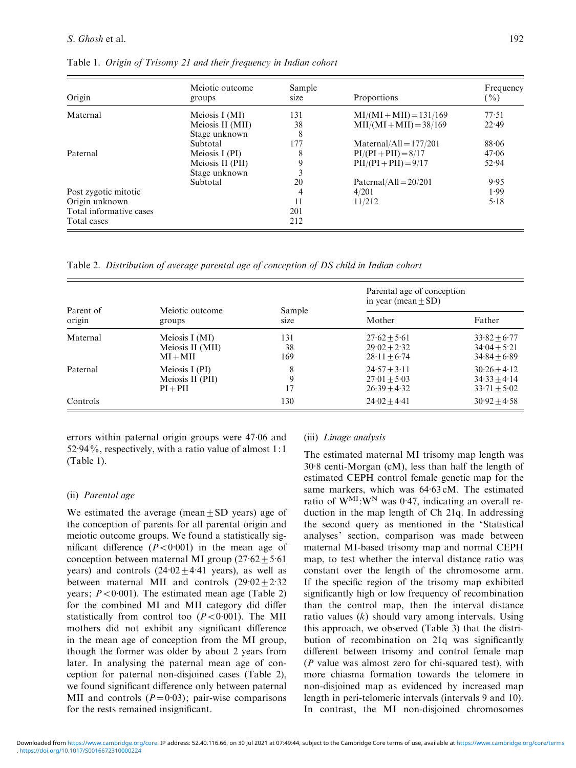| Origin                  | Meiotic outcome<br>groups | Sample<br>size | Proportions                     | Frequency<br>$( \frac{9}{6} )$ |  |
|-------------------------|---------------------------|----------------|---------------------------------|--------------------------------|--|
| Maternal                | Meiosis I (MI)            | 131            | $MI/(MI+MI)=131/169$            | 77.51                          |  |
|                         | Meiosis II (MII)          | 38             | $MII/(MI+MI)=38/169$            | 22.49                          |  |
|                         | Stage unknown             | 8              |                                 |                                |  |
|                         | Subtotal                  | 177            | $\text{Material/All} = 177/201$ | 88.06                          |  |
| Paternal                | Meiosis I $(PI)$          | 8              | $PI/(PI + PII) = 8/17$          | 47.06                          |  |
|                         | Meiosis II (PII)          | 9              | $PII/(PI + PII) = 9/17$         | 52.94                          |  |
|                         | Stage unknown             | 3              |                                 |                                |  |
|                         | Subtotal                  | 20             | Paternal/All = $20/201$         | 9.95                           |  |
| Post zygotic mitotic    |                           | 4              | 4/201                           | 1.99                           |  |
| Origin unknown          |                           | 11             | 11/212                          | 5.18                           |  |
| Total informative cases |                           | 201            |                                 |                                |  |
| Total cases             |                           | 212            |                                 |                                |  |

Table 1. Origin of Trisomy 21 and their frequency in Indian cohort

Table 2. Distribution of average parental age of conception of DS child in Indian cohort

| Parent of<br>origin | Meiotic outcome<br>groups                        | Sample<br>size   | Parental age of conception<br>in year (mean $\pm$ SD) |                                                      |
|---------------------|--------------------------------------------------|------------------|-------------------------------------------------------|------------------------------------------------------|
|                     |                                                  |                  | Mother                                                | Father                                               |
| Maternal            | Meiosis I (MI)<br>Meiosis II (MII)<br>$MI+MII$   | 131<br>38<br>169 | $27.62 + 5.61$<br>$29.02 + 2.32$<br>$28.11 + 6.74$    | $33.82 + 6.77$<br>$34.04 + 5.21$<br>$34.84 + 6.89$   |
| Paternal            | Meiosis I (PI)<br>Meiosis II (PII)<br>$PI + PII$ | 8<br>9<br>17     | $24.57 + 3.11$<br>$27.01 + 5.03$<br>$26.39 + 4.32$    | $30.26 + 4.12$<br>$34.33 + 4.14$<br>$33.71 \pm 5.02$ |
| Controls            |                                                  | 130              | $24.02 + 4.41$                                        | $30.92 + 4.58$                                       |

errors within paternal origin groups were 47.06 and 52.94%, respectively, with a ratio value of almost 1:1 (Table 1).

# (ii) Parental age

We estimated the average (mean  $+$  SD years) age of the conception of parents for all parental origin and meiotic outcome groups. We found a statistically significant difference  $(P < 0.001)$  in the mean age of conception between maternal MI group  $(27.62 \pm 5.61)$ years) and controls  $(24.02 \pm 4.41)$  years), as well as between maternal MII and controls  $(29.02 \pm 2.32)$ years;  $P < 0.001$ ). The estimated mean age (Table 2) for the combined MI and MII category did differ statistically from control too  $(P < 0.001)$ . The MII mothers did not exhibit any significant difference in the mean age of conception from the MI group, though the former was older by about 2 years from later. In analysing the paternal mean age of conception for paternal non-disjoined cases (Table 2), we found significant difference only between paternal MII and controls  $(P=0.03)$ ; pair-wise comparisons for the rests remained insignificant.

# (iii) Linage analysis

The estimated maternal MI trisomy map length was 30.8 centi-Morgan (cM), less than half the length of estimated CEPH control female genetic map for the same markers, which was 64.63 cM. The estimated ratio of  $W^{MI}:W^{N}$  was 0.47, indicating an overall reduction in the map length of Ch 21q. In addressing the second query as mentioned in the 'Statistical analyses' section, comparison was made between maternal MI-based trisomy map and normal CEPH map, to test whether the interval distance ratio was constant over the length of the chromosome arm. If the specific region of the trisomy map exhibited significantly high or low frequency of recombination than the control map, then the interval distance ratio values  $(k)$  should vary among intervals. Using this approach, we observed (Table 3) that the distribution of recombination on 21q was significantly different between trisomy and control female map  $(P$  value was almost zero for chi-squared test), with more chiasma formation towards the telomere in non-disjoined map as evidenced by increased map length in peri-telomeric intervals (intervals 9 and 10). In contrast, the MI non-disjoined chromosomes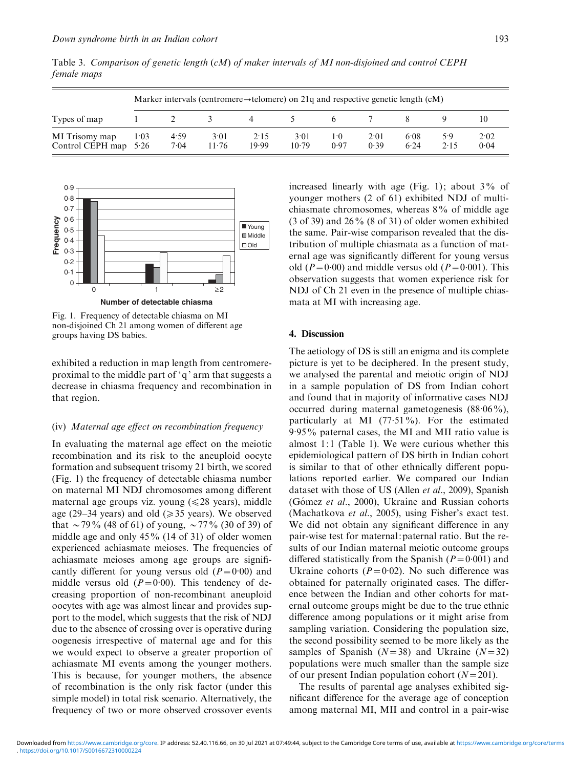| Types of map                       | Marker intervals (centromere $\rightarrow$ telomere) on 21q and respective genetic length (cM) |              |               |               |               |                 |              |              |             |              |
|------------------------------------|------------------------------------------------------------------------------------------------|--------------|---------------|---------------|---------------|-----------------|--------------|--------------|-------------|--------------|
|                                    |                                                                                                |              |               |               |               |                 |              |              |             |              |
| MI Trisomy map<br>Control CEPH map | 1.03<br>5.26                                                                                   | 4.59<br>7.04 | 3.01<br>11.76 | 2.15<br>19.99 | 3.01<br>10.79 | $1 - 0$<br>0.97 | 2.01<br>0.39 | 6.08<br>6.24 | 5.9<br>2.15 | 2.02<br>0.04 |



Fig. 1. Frequency of detectable chiasma on MI non-disjoined Ch 21 among women of different age groups having DS babies.

exhibited a reduction in map length from centromereproximal to the middle part of 'q' arm that suggests a decrease in chiasma frequency and recombination in that region.

#### (iv) Maternal age effect on recombination frequency

In evaluating the maternal age effect on the meiotic recombination and its risk to the aneuploid oocyte formation and subsequent trisomy 21 birth, we scored (Fig. 1) the frequency of detectable chiasma number on maternal MI NDJ chromosomes among different maternal age groups viz. young  $(\leq 28 \text{ years})$ , middle age (29–34 years) and old ( $\geq$ 35 years). We observed that  $\sim$  79% (48 of 61) of young,  $\sim$  77% (30 of 39) of middle age and only 45% (14 of 31) of older women experienced achiasmate meioses. The frequencies of achiasmate meioses among age groups are significantly different for young versus old  $(P=0.00)$  and middle versus old  $(P=0.00)$ . This tendency of decreasing proportion of non-recombinant aneuploid oocytes with age was almost linear and provides support to the model, which suggests that the risk of NDJ due to the absence of crossing over is operative during oogenesis irrespective of maternal age and for this we would expect to observe a greater proportion of achiasmate MI events among the younger mothers. This is because, for younger mothers, the absence of recombination is the only risk factor (under this simple model) in total risk scenario. Alternatively, the frequency of two or more observed crossover events

increased linearly with age (Fig. 1); about  $3\%$  of younger mothers (2 of 61) exhibited NDJ of multichiasmate chromosomes, whereas 8% of middle age  $(3$  of 39) and  $26\%$   $(8$  of 31) of older women exhibited the same. Pair-wise comparison revealed that the distribution of multiple chiasmata as a function of maternal age was significantly different for young versus old ( $P=0.00$ ) and middle versus old ( $P=0.001$ ). This observation suggests that women experience risk for NDJ of Ch 21 even in the presence of multiple chiasmata at MI with increasing age.

## 4. Discussion

The aetiology of DS is still an enigma and its complete picture is yet to be deciphered. In the present study, we analysed the parental and meiotic origin of NDJ in a sample population of DS from Indian cohort and found that in majority of informative cases NDJ occurred during maternal gametogenesis (88.06%), particularly at MI  $(77.51\%)$ . For the estimated .<br>9.95% paternal cases, the MI and MII ratio value is almost 1:1 (Table 1). We were curious whether this epidemiological pattern of DS birth in Indian cohort is similar to that of other ethnically different populations reported earlier. We compared our Indian dataset with those of US (Allen et al., 2009), Spanish (Gómez et al., 2000), Ukraine and Russian cohorts (Machatkova et al., 2005), using Fisher's exact test. We did not obtain any significant difference in any pair-wise test for maternal:paternal ratio. But the results of our Indian maternal meiotic outcome groups differed statistically from the Spanish  $(P=0.001)$  and Ukraine cohorts  $(P=0.02)$ . No such difference was obtained for paternally originated cases. The difference between the Indian and other cohorts for maternal outcome groups might be due to the true ethnic difference among populations or it might arise from sampling variation. Considering the population size, the second possibility seemed to be more likely as the samples of Spanish  $(N=38)$  and Ukraine  $(N=32)$ populations were much smaller than the sample size of our present Indian population cohort  $(N=201)$ .

The results of parental age analyses exhibited significant difference for the average age of conception among maternal MI, MII and control in a pair-wise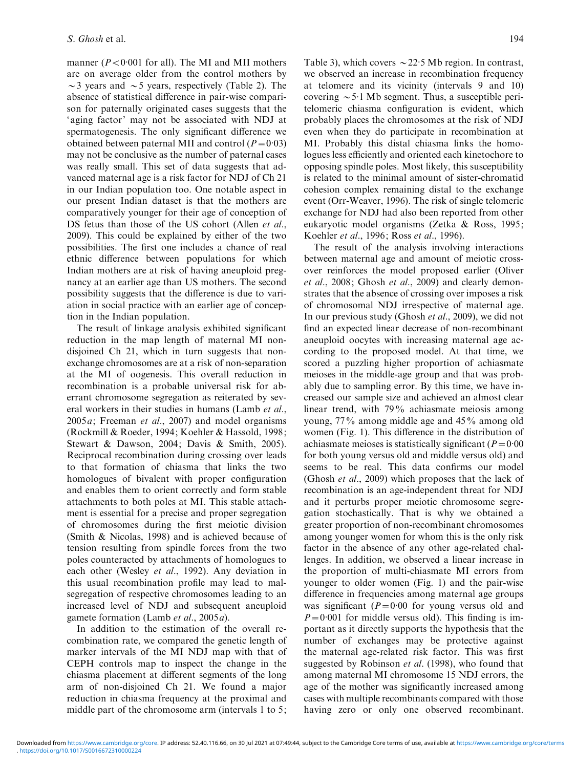manner ( $P < 0.001$  for all). The MI and MII mothers are on average older from the control mothers by  $\sim$ 3 years and  $\sim$ 5 years, respectively (Table 2). The absence of statistical difference in pair-wise comparison for paternally originated cases suggests that the ' aging factor' may not be associated with NDJ at spermatogenesis. The only significant difference we obtained between paternal MII and control  $(P=0.03)$ may not be conclusive as the number of paternal cases was really small. This set of data suggests that advanced maternal age is a risk factor for NDJ of Ch 21 in our Indian population too. One notable aspect in our present Indian dataset is that the mothers are comparatively younger for their age of conception of DS fetus than those of the US cohort (Allen et al., 2009). This could be explained by either of the two possibilities. The first one includes a chance of real ethnic difference between populations for which Indian mothers are at risk of having aneuploid pregnancy at an earlier age than US mothers. The second possibility suggests that the difference is due to variation in social practice with an earlier age of conception in the Indian population.

The result of linkage analysis exhibited significant reduction in the map length of maternal MI nondisjoined Ch 21, which in turn suggests that nonexchange chromosomes are at a risk of non-separation at the MI of oogenesis. This overall reduction in recombination is a probable universal risk for aberrant chromosome segregation as reiterated by several workers in their studies in humans (Lamb et al.,  $2005a$ ; Freeman *et al.*, 2007) and model organisms (Rockmill & Roeder, 1994; Koehler & Hassold, 1998; Stewart & Dawson, 2004; Davis & Smith, 2005). Reciprocal recombination during crossing over leads to that formation of chiasma that links the two homologues of bivalent with proper configuration and enables them to orient correctly and form stable attachments to both poles at MI. This stable attachment is essential for a precise and proper segregation of chromosomes during the first meiotic division (Smith & Nicolas, 1998) and is achieved because of tension resulting from spindle forces from the two poles counteracted by attachments of homologues to each other (Wesley et al., 1992). Any deviation in this usual recombination profile may lead to malsegregation of respective chromosomes leading to an increased level of NDJ and subsequent aneuploid gamete formation (Lamb et al., 2005a).

In addition to the estimation of the overall recombination rate, we compared the genetic length of marker intervals of the MI NDJ map with that of CEPH controls map to inspect the change in the chiasma placement at different segments of the long arm of non-disjoined Ch 21. We found a major reduction in chiasma frequency at the proximal and middle part of the chromosome arm (intervals 1 to 5;

Table 3), which covers  $\sim$  22.5 Mb region. In contrast, we observed an increase in recombination frequency at telomere and its vicinity (intervals 9 and 10) covering  $\sim$  5·1 Mb segment. Thus, a susceptible peritelomeric chiasma configuration is evident, which probably places the chromosomes at the risk of NDJ even when they do participate in recombination at MI. Probably this distal chiasma links the homologues less efficiently and oriented each kinetochore to opposing spindle poles. Most likely, this susceptibility is related to the minimal amount of sister-chromatid cohesion complex remaining distal to the exchange event (Orr-Weaver, 1996). The risk of single telomeric exchange for NDJ had also been reported from other eukaryotic model organisms (Zetka & Ross, 1995; Koehler et al., 1996; Ross et al., 1996).

The result of the analysis involving interactions between maternal age and amount of meiotic crossover reinforces the model proposed earlier (Oliver et al., 2008; Ghosh et al., 2009) and clearly demonstrates that the absence of crossing over imposes a risk of chromosomal NDJ irrespective of maternal age. In our previous study (Ghosh et al., 2009), we did not find an expected linear decrease of non-recombinant aneuploid oocytes with increasing maternal age according to the proposed model. At that time, we scored a puzzling higher proportion of achiasmate meioses in the middle-age group and that was probably due to sampling error. By this time, we have increased our sample size and achieved an almost clear linear trend, with 79% achiasmate meiosis among young, 77% among middle age and 45% among old women (Fig. 1). This difference in the distribution of achiasmate meioses is statistically significant ( $P=0.00$ for both young versus old and middle versus old) and seems to be real. This data confirms our model (Ghosh et al., 2009) which proposes that the lack of recombination is an age-independent threat for NDJ and it perturbs proper meiotic chromosome segregation stochastically. That is why we obtained a greater proportion of non-recombinant chromosomes among younger women for whom this is the only risk factor in the absence of any other age-related challenges. In addition, we observed a linear increase in the proportion of multi-chiasmate MI errors from younger to older women (Fig. 1) and the pair-wise difference in frequencies among maternal age groups was significant  $(P=0.00$  for young versus old and  $P=0.001$  for middle versus old). This finding is important as it directly supports the hypothesis that the number of exchanges may be protective against the maternal age-related risk factor. This was first suggested by Robinson et al. (1998), who found that among maternal MI chromosome 15 NDJ errors, the age of the mother was significantly increased among cases with multiple recombinants compared with those having zero or only one observed recombinant.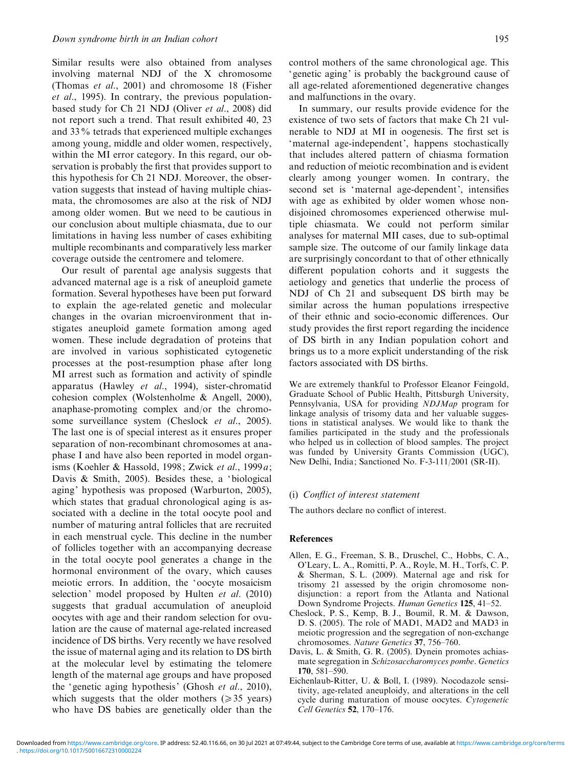Similar results were also obtained from analyses involving maternal NDJ of the X chromosome (Thomas et al., 2001) and chromosome 18 (Fisher et al., 1995). In contrary, the previous populationbased study for Ch 21 NDJ (Oliver et al., 2008) did not report such a trend. That result exhibited 40, 23 and 33% tetrads that experienced multiple exchanges among young, middle and older women, respectively, within the MI error category. In this regard, our observation is probably the first that provides support to this hypothesis for Ch 21 NDJ. Moreover, the observation suggests that instead of having multiple chiasmata, the chromosomes are also at the risk of NDJ among older women. But we need to be cautious in our conclusion about multiple chiasmata, due to our limitations in having less number of cases exhibiting multiple recombinants and comparatively less marker coverage outside the centromere and telomere.

Our result of parental age analysis suggests that advanced maternal age is a risk of aneuploid gamete formation. Several hypotheses have been put forward to explain the age-related genetic and molecular changes in the ovarian microenvironment that instigates aneuploid gamete formation among aged women. These include degradation of proteins that are involved in various sophisticated cytogenetic processes at the post-resumption phase after long MI arrest such as formation and activity of spindle apparatus (Hawley et al., 1994), sister-chromatid cohesion complex (Wolstenholme & Angell, 2000), anaphase-promoting complex and/or the chromosome surveillance system (Cheslock et al., 2005). The last one is of special interest as it ensures proper separation of non-recombinant chromosomes at anaphase I and have also been reported in model organisms (Koehler & Hassold, 1998; Zwick et al., 1999a; Davis & Smith, 2005). Besides these, a 'biological aging' hypothesis was proposed (Warburton, 2005), which states that gradual chronological aging is associated with a decline in the total oocyte pool and number of maturing antral follicles that are recruited in each menstrual cycle. This decline in the number of follicles together with an accompanying decrease in the total oocyte pool generates a change in the hormonal environment of the ovary, which causes meiotic errors. In addition, the 'oocyte mosaicism selection' model proposed by Hulten et al. (2010) suggests that gradual accumulation of aneuploid oocytes with age and their random selection for ovulation are the cause of maternal age-related increased incidence of DS births. Very recently we have resolved the issue of maternal aging and its relation to DS birth at the molecular level by estimating the telomere length of the maternal age groups and have proposed the 'genetic aging hypothesis' (Ghosh et al., 2010), which suggests that the older mothers ( $\geq 35$  years) who have DS babies are genetically older than the

control mothers of the same chronological age. This 'genetic aging' is probably the background cause of all age-related aforementioned degenerative changes and malfunctions in the ovary.

In summary, our results provide evidence for the existence of two sets of factors that make Ch 21 vulnerable to NDJ at MI in oogenesis. The first set is 'maternal age-independent', happens stochastically that includes altered pattern of chiasma formation and reduction of meiotic recombination and is evident clearly among younger women. In contrary, the second set is 'maternal age-dependent', intensifies with age as exhibited by older women whose nondisjoined chromosomes experienced otherwise multiple chiasmata. We could not perform similar analyses for maternal MII cases, due to sub-optimal sample size. The outcome of our family linkage data are surprisingly concordant to that of other ethnically different population cohorts and it suggests the aetiology and genetics that underlie the process of NDJ of Ch 21 and subsequent DS birth may be similar across the human populations irrespective of their ethnic and socio-economic differences. Our study provides the first report regarding the incidence of DS birth in any Indian population cohort and brings us to a more explicit understanding of the risk factors associated with DS births.

We are extremely thankful to Professor Eleanor Feingold, Graduate School of Public Health, Pittsburgh University, Pennsylvania, USA for providing NDJMap program for linkage analysis of trisomy data and her valuable suggestions in statistical analyses. We would like to thank the families participated in the study and the professionals who helped us in collection of blood samples. The project was funded by University Grants Commission (UGC), New Delhi, India; Sanctioned No. F-3-111/2001 (SR-II).

#### (i) Conflict of interest statement

The authors declare no conflict of interest.

# References

- Allen, E. G., Freeman, S. B., Druschel, C., Hobbs, C. A., O'Leary, L. A., Romitti, P. A., Royle, M. H., Torfs, C. P. & Sherman, S. L. (2009). Maternal age and risk for trisomy 21 assessed by the origin chromosome nondisjunction: a report from the Atlanta and National Down Syndrome Projects. Human Genetics 125, 41–52.
- Cheslock, P. S., Kemp, B. J., Boumil, R. M. & Dawson, D. S. (2005). The role of MAD1, MAD2 and MAD3 in meiotic progression and the segregation of non-exchange chromosomes. Nature Genetics 37, 756–760.
- Davis, L. & Smith, G. R. (2005). Dynein promotes achiasmate segregation in Schizosaccharomyces pombe. Genetics 170, 581–590.
- Eichenlaub-Ritter, U. & Boll, I. (1989). Nocodazole sensitivity, age-related aneuploidy, and alterations in the cell cycle during maturation of mouse oocytes. Cytogenetic Cell Genetics 52, 170–176.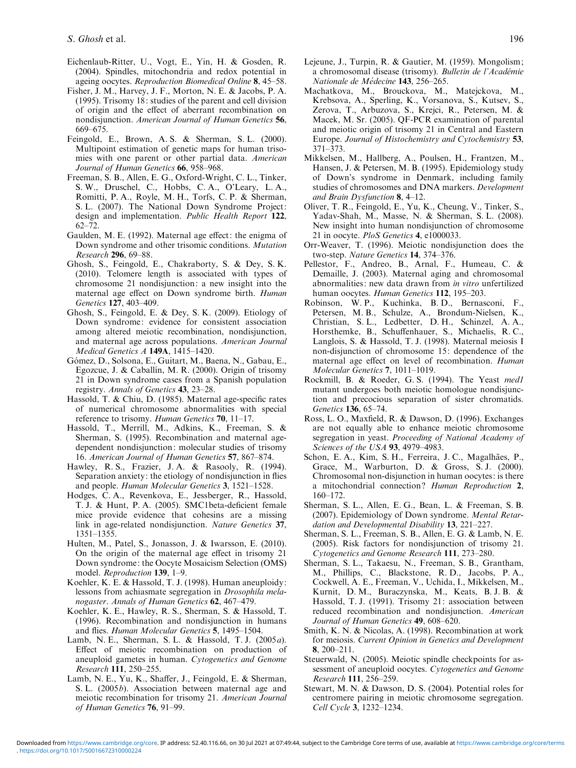- Eichenlaub-Ritter, U., Vogt, E., Yin, H. & Gosden, R. (2004). Spindles, mitochondria and redox potential in ageing oocytes. Reproduction Biomedical Online 8, 45–58.
- Fisher, J. M., Harvey, J. F., Morton, N. E. & Jacobs, P. A. (1995). Trisomy 18: studies of the parent and cell division of origin and the effect of aberrant recombination on nondisjunction. American Journal of Human Genetics 56, 669–675.
- Feingold, E., Brown, A. S. & Sherman, S. L. (2000). Multipoint estimation of genetic maps for human trisomies with one parent or other partial data. American Journal of Human Genetics 66, 958–968.
- Freeman, S. B., Allen, E. G., Oxford-Wright, C. L., Tinker, S. W., Druschel, C., Hobbs, C. A., O'Leary, L. A., Romitti, P. A., Royle, M. H., Torfs, C. P. & Sherman, S. L. (2007). The National Down Syndrome Project: design and implementation. Public Health Report 122, 62–72.
- Gaulden, M. E. (1992). Maternal age effect: the enigma of Down syndrome and other trisomic conditions. Mutation Research 296, 69–88.
- Ghosh, S., Feingold, E., Chakraborty, S. & Dey, S. K. (2010). Telomere length is associated with types of chromosome 21 nondisjunction: a new insight into the maternal age effect on Down syndrome birth. Human Genetics 127, 403–409.
- Ghosh, S., Feingold, E. & Dey, S. K. (2009). Etiology of Down syndrome: evidence for consistent association among altered meiotic recombination, nondisjunction, and maternal age across populations. American Journal Medical Genetics A 149A, 1415–1420.
- Gómez, D., Solsona, E., Guitart, M., Baena, N., Gabau, E., Egozcue, J. & Caballín, M. R. (2000). Origin of trisomy 21 in Down syndrome cases from a Spanish population registry. Annals of Genetics 43, 23–28.
- Hassold, T. & Chiu, D. (1985). Maternal age-specific rates of numerical chromosome abnormalities with special reference to trisomy. Human Genetics 70, 11–17.
- Hassold, T., Merrill, M., Adkins, K., Freeman, S. & Sherman, S. (1995). Recombination and maternal agedependent nondisjunction: molecular studies of trisomy 16. American Journal of Human Genetics 57, 867–874.
- Hawley, R. S., Frazier, J. A. & Rasooly, R. (1994). Separation anxiety: the etiology of nondisjunction in flies and people. Human Molecular Genetics 3, 1521–1528.
- Hodges, C. A., Revenkova, E., Jessberger, R., Hassold, T. J. & Hunt, P. A. (2005). SMC1beta-deficient female mice provide evidence that cohesins are a missing link in age-related nondisiunction. Nature Genetics 37, 1351–1355.
- Hulten, M., Patel, S., Jonasson, J. & Iwarsson, E. (2010). On the origin of the maternal age effect in trisomy 21 Down syndrome: the Oocyte Mosaicism Selection (OMS) model. Reproduction 139, 1–9.
- Koehler, K. E. & Hassold, T. J. (1998). Human aneuploidy: lessons from achiasmate segregation in Drosophila melanogaster. Annals of Human Genetics 62, 467–479.
- Koehler, K. E., Hawley, R. S., Sherman, S. & Hassold, T. (1996). Recombination and nondisjunction in humans and flies. Human Molecular Genetics 5, 1495–1504.
- Lamb, N. E., Sherman, S. L. & Hassold, T. J. (2005a). Effect of meiotic recombination on production of aneuploid gametes in human. Cytogenetics and Genome Research 111, 250–255.
- Lamb, N. E., Yu, K., Shaffer, J., Feingold, E. & Sherman, S. L. (2005b). Association between maternal age and meiotic recombination for trisomy 21. American Journal of Human Genetics 76, 91–99.
- Lejeune, J., Turpin, R. & Gautier, M. (1959). Mongolism: a chromosomal disease (trisomy). Bulletin de l'Académie Nationale de Médecine 143, 256-265.
- Machatkova, M., Brouckova, M., Matejckova, M., Krebsova, A., Sperling, K., Vorsanova, S., Kutsev, S., Zerova, T., Arbuzova, S., Krejci, R., Petersen, M. & Macek, M. Sr. (2005). QF-PCR examination of parental and meiotic origin of trisomy 21 in Central and Eastern Europe. Journal of Histochemistry and Cytochemistry 53, 371–373.
- Mikkelsen, M., Hallberg, A., Poulsen, H., Frantzen, M., Hansen, J. & Petersen, M. B. (1995). Epidemiology study of Down's syndrome in Denmark, including family studies of chromosomes and DNA markers. Development and Brain Dysfunction 8, 4–12.
- Oliver, T. R., Feingold, E., Yu, K., Cheung, V., Tinker, S., Yadav-Shah, M., Masse, N. & Sherman, S. L. (2008). New insight into human nondisjunction of chromosome 21 in oocyte. PloS Genetics 4, e1000033.
- Orr-Weaver, T. (1996). Meiotic nondisjunction does the two-step. Nature Genetics 14, 374–376.
- Pellestor, F., Andreo, B., Arnal, F., Humeau, C. & Demaille, J. (2003). Maternal aging and chromosomal abnormalities: new data drawn from in vitro unfertilized human oocytes. Human Genetics 112, 195-203.
- Robinson, W. P., Kuchinka, B. D., Bernasconi, F., Petersen, M. B., Schulze, A., Brondum-Nielsen, K., Christian, S. L., Ledbetter, D. H., Schinzel, A. A., Horsthemke, B., Schuffenhauer, S., Michaelis, R. C., Langlois, S. & Hassold, T. J. (1998). Maternal meiosis I non-disjunction of chromosome 15: dependence of the maternal age effect on level of recombination. Human Molecular Genetics 7, 1011–1019.
- Rockmill, B. & Roeder, G. S. (1994). The Yeast med1 mutant undergoes both meiotic homologue nondisjunction and precocious separation of sister chromatids. Genetics 136, 65–74.
- Ross, L. O., Maxfield, R. & Dawson, D. (1996). Exchanges are not equally able to enhance meiotic chromosome segregation in yeast. Proceeding of National Academy of Sciences of the USA 93, 4979–4983.
- Schon, E. A., Kim, S. H., Ferreira, J. C., Magalhães, P., Grace, M., Warburton, D. & Gross, S. J. (2000). Chromosomal non-disjunction in human oocytes: is there a mitochondrial connection ? Human Reproduction 2, 160–172.
- Sherman, S. L., Allen, E. G., Bean, L. & Freeman, S. B. (2007). Epidemiology of Down syndrome. Mental Retardation and Developmental Disability 13, 221–227.
- Sherman, S. L., Freeman, S. B., Allen, E. G. & Lamb, N. E. (2005). Risk factors for nondisjunction of trisomy 21. Cytogenetics and Genome Research 111, 273–280.
- Sherman, S. L., Takaesu, N., Freeman, S. B., Grantham, M., Phillips, C., Blackstone, R. D., Jacobs, P. A., Cockwell, A. E., Freeman, V., Uchida, I., Mikkelsen, M., Kurnit, D. M., Buraczynska, M., Keats, B. J. B. & Hassold, T. J. (1991). Trisomy 21: association between reduced recombination and nondisjunction. American Journal of Human Genetics 49, 608–620.
- Smith, K. N. & Nicolas, A. (1998). Recombination at work for meiosis. Current Opinion in Genetics and Development 8, 200–211.
- Steuerwald, N. (2005). Meiotic spindle checkpoints for assessment of aneuploid oocytes. Cytogenetics and Genome Research 111, 256–259.
- Stewart, M. N. & Dawson, D. S. (2004). Potential roles for centromere pairing in meiotic chromosome segregation. Cell Cycle 3, 1232–1234.